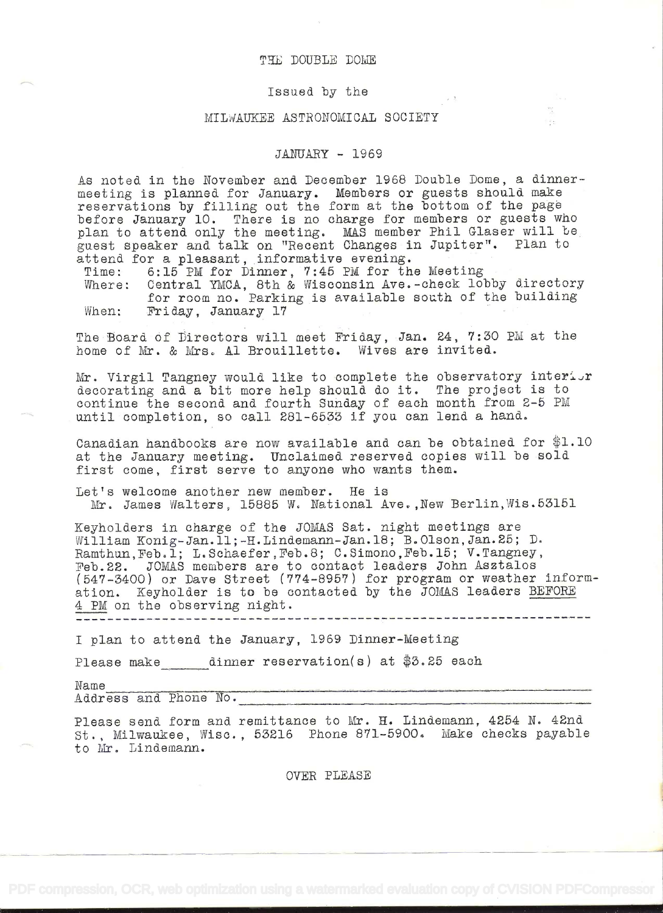## THE DOUBLE DOME

## Issued by the

## MILiAUKEE ASTRONOMICAL SOCIETY

## JANUARY - 1969

 $\rightarrow$ 

As noted in the November and December 1968 Double Dome, a dinnermeeting is planned for January. Members or guests should make reservations by filling out the form at the bottom of the page before January 10. There is no charge for members or guests who plan to attend only the meeting. MAS member Phil Glaser will be guest speaker and talk on "Recent Changes in Jupiter". Plan to attend for a pleasant, informative evening.

Time: 6:15 PM for Dinner, 7:45 PM for the Meeting

Where: Central YMCA, 8th & Wisconsin Ave.-check lobby directory<br>for room no. Parking is available south of the building for room no. Parking is available south of the building<br>When: Friday, January 17

The Board of Directors will meet Priday, Jan. 24, 7:30 PM at the home of Mr. & Mrs. Al Brouillette. Wives are invited.

Mr. Virgil Tangney would like to complete the observatory interior decorating and a bit more help should do it. The project is to continue the second and fourth Sunday of each month from 2-5 PM until completion, so call 281-6533 if you can lend a hand.

Canadian handbooks are now available and can be obtained for  $$1.10$ at the January meeting. Unclaimed reserved copies will be sold first come, first serve to anyone who wants them.

Let's welcome another new member. He is Mr. James Walters, 15885 W. National Ave.,New Berlin,Wis.53l5l

Keyholders in charge of the JOMAS Sat. night meetings are William Konig-Jan.11;-H.Lindemann-Jan.18; B.Olson,Jan.25; D. Ramthun, Feb. 1; L. Schaefer, Feb. 8; C. Simono, Feb. 15; V. Tangney, Feb.22. JOMAS members are to contact leaders John Asztalos (547-3400) or Dave Street (774-895?) for program or weather information. Keyholder is to be contacted by the JOMAS leaders BEFORE <sup>4</sup>PM on the observing night.

I plan to attend the January, 1969 Dinner-Meeting

Please make dinner reservation(s) at \$3.25 each

Name

Address and Phone No.

Please send form and remittance to Mr. H. Lindemann, 4254 N. 42nd St. Milwaukee, Wisc. , 53216 Phone 8?l-5900. Make checks payable to Mr. Lindemann.

OVER PLEASE